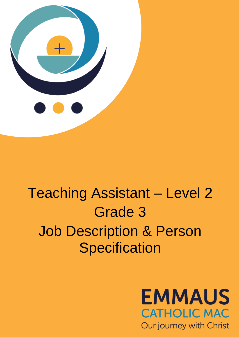

# Teaching Assistant – Level 2 Grade 3 Job Description & Person **Specification**

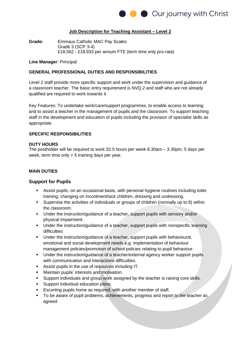

### **Job Description for Teaching Assistant – Level 2**

**Grade:** Emmaus Catholic MAC Pay Scales Grade 3 (SCP 3-4) £18,562 - £18,933 per annum FTE (term time only pro-rata)

#### **Line Manager**: Principal

#### **GENERAL PROFESSIONAL DUTIES AND RESPONSIBILITIES**

Level 2 staff provide more specific support and work under the supervision and guidance of a classroom teacher. The basic entry requirement is NVQ 2 and staff who are not already qualified are required to work towards it.

Key Features: To undertake work/care/support programmes, to enable access to learning and to assist a teacher in the management of pupils and the classroom. To support teaching staff in the development and education of pupils including the provision of specialist skills as appropriate.

#### **SPECIFIC RESPONSIBILITIES**

#### **DUTY HOURS**

The postholder will be required to work 32.5 hours per week 8.30am – 3.30pm, 5 days per week, term time only + 5 training days per year.

## **MAIN DUTIES**

#### **Support for Pupils**

- **EXECT** Assist pupils, on an occasional basis, with personal hygiene routines including toilet training, changing on incontinent/sick children, dressing and undressing.
- Supervise the activities of individuals or groups of children (normally up to 8) within the classroom.
- Under the instruction/guidance of a teacher, support pupils with sensory and/or physical impairment.
- Under the instruction/guidance of a teacher, support pupils with nonspecific learning difficulties
- Under the instruction/guidance of a teacher, support pupils with behavioural, emotional and social development needs e.g. implementation of behaviour management policies/promotion of school policies relating to pupil behaviour.
- Under the instruction/guidance of a teacher/external agency worker support pupils with communication and interactions difficulties.
- Assist pupils in the use of resources including IT.
- Maintain pupils' interests and motivation.
- Support individuals and group work assigned by the teacher is raising core skills.
- Support individual education plans.
- Escorting pupils home as required, with another member of staff.
- To be aware of pupil problems, achievements, progress and report to the teacher as agreed.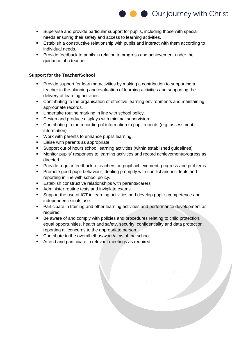

- Supervise and provide particular support for pupils, including those with special needs ensuring their safety and access to learning activities.
- **Establish a constructive relationship with pupils and interact with them according to** individual needs.
- Provide feedback to pupils in relation to progress and achievement under the guidance of a teacher.

# **Support for the Teacher/School**

- Provide support for learning activities by making a contribution to supporting a teacher in the planning and evaluation of learning activities and supporting the delivery of learning activities.
- Contributing to the organisation of effective learning environments and maintaining appropriate records.
- Undertake routine marking in line with school policy.
- **•** Design and produce displays with minimal supervision.
- Contributing to the recording of information to pupil records (e.g. assessment information)
- Work with parents to enhance pupils learning.
- **EXEC** Liaise with parents as appropriate.
- Support out of hours school learning activities (within established guidelines)
- Monitor pupils' responses to learning activities and record achievement/progress as directed.
- **Provide regular feedback to teachers on pupil achievement, progress and problems.**
- **Promote good pupil behaviour, dealing promptly with conflict and incidents and** reporting in line with school policy.
- Establish constructive relationships with parents/carers.
- Administer routine tests and invigilate exams.
- Support the use of ICT in learning activities and develop pupil's competence and independence in its use.
- Participate in training and other learning activities and performance development as required.
- Be aware of and comply with policies and procedures relating to child protection, equal opportunities, health and safety, security, confidentiality and data protection, reporting all concerns to the appropriate person.
- Contribute to the overall ethos/work/aims of the school.
- Attend and participate in relevant meetings as required.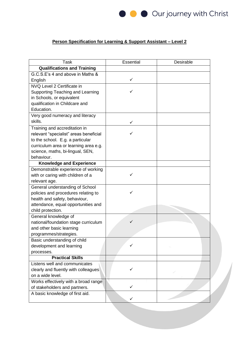

# **Person Specification for Learning & Support Assistant – Level 2**

| <b>Task</b>                             | Essential | Desirable |  |
|-----------------------------------------|-----------|-----------|--|
| <b>Qualifications and Training</b>      |           |           |  |
| G.C.S.E's 4 and above in Maths &        |           |           |  |
| English                                 | ✓         |           |  |
| NVQ Level 2 Certificate in              |           |           |  |
| <b>Supporting Teaching and Learning</b> |           |           |  |
| in Schools, or equivalent               |           |           |  |
| qualification in Childcare and          |           |           |  |
| Education.                              |           |           |  |
| Very good numeracy and literacy         |           |           |  |
| skills.                                 | ✓         |           |  |
| Training and accreditation in           |           |           |  |
| relevant "specialist" areas beneficial  |           |           |  |
| to the school. E.g. a particular        |           |           |  |
| curriculum area or learning area e.g.   |           |           |  |
| science, maths, bi-lingual, SEN,        |           |           |  |
| behaviour.                              |           |           |  |
| <b>Knowledge and Experience</b>         |           |           |  |
| Demonstrable experience of working      |           |           |  |
| with or caring with children of a       | ✓         |           |  |
| relevant age.                           |           |           |  |
| General understanding of School         |           |           |  |
| policies and procedures relating to     | ✓         |           |  |
| health and safety, behaviour,           |           |           |  |
| attendance, equal opportunities and     |           |           |  |
| child protection.                       |           |           |  |
| General knowledge of                    |           |           |  |
| national/foundation stage curriculum    | ✓         |           |  |
| and other basic learning                |           |           |  |
| programmes/strategies.                  |           |           |  |
| Basic understanding of child            |           |           |  |
| development and learning                | ✓         |           |  |
| processes.                              |           |           |  |
| <b>Practical Skills</b>                 |           |           |  |
| Listens well and communicates           |           |           |  |
| clearly and fluently with colleagues    | ✓         |           |  |
| on a wide level.                        |           |           |  |
| Works effectively with a broad range    |           |           |  |
| of stakeholders and partners.           | ✓         |           |  |
| A basic knowledge of first aid.         |           |           |  |
|                                         | ✓         |           |  |